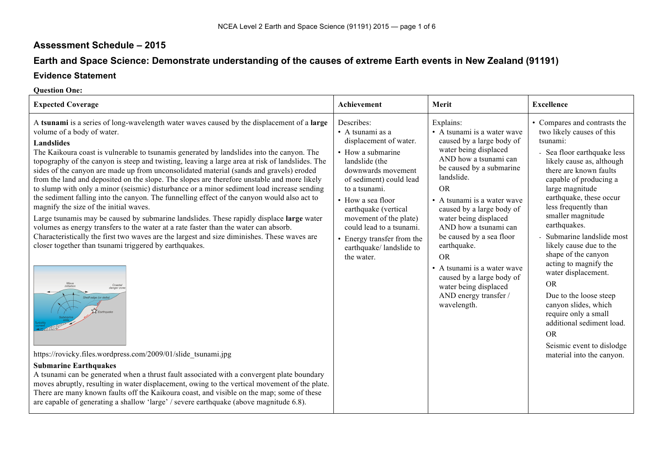## **Assessment Schedule – 2015**

# **Earth and Space Science: Demonstrate understanding of the causes of extreme Earth events in New Zealand (91191)**

### **Evidence Statement**

#### **Question One:**

| <b>Expected Coverage</b>                                                                                                                                                                                                                                                                                                                                                                                                                                                                                                                                                                                                                                                                                                                                                                                                                                                                                                                                                                                                                                                                                                                                                                                                                                                                                                                                                                                                                                                                                                                                                                                                                                                                            | Achievement                                                                                                                                                                                                                                                                                                                                         | Merit                                                                                                                                                                                                                                                                                                                                                                                                                                                                             | <b>Excellence</b>                                                                                                                                                                                                                                                                                                                                                                                                                                                                                                                                                                                                           |
|-----------------------------------------------------------------------------------------------------------------------------------------------------------------------------------------------------------------------------------------------------------------------------------------------------------------------------------------------------------------------------------------------------------------------------------------------------------------------------------------------------------------------------------------------------------------------------------------------------------------------------------------------------------------------------------------------------------------------------------------------------------------------------------------------------------------------------------------------------------------------------------------------------------------------------------------------------------------------------------------------------------------------------------------------------------------------------------------------------------------------------------------------------------------------------------------------------------------------------------------------------------------------------------------------------------------------------------------------------------------------------------------------------------------------------------------------------------------------------------------------------------------------------------------------------------------------------------------------------------------------------------------------------------------------------------------------------|-----------------------------------------------------------------------------------------------------------------------------------------------------------------------------------------------------------------------------------------------------------------------------------------------------------------------------------------------------|-----------------------------------------------------------------------------------------------------------------------------------------------------------------------------------------------------------------------------------------------------------------------------------------------------------------------------------------------------------------------------------------------------------------------------------------------------------------------------------|-----------------------------------------------------------------------------------------------------------------------------------------------------------------------------------------------------------------------------------------------------------------------------------------------------------------------------------------------------------------------------------------------------------------------------------------------------------------------------------------------------------------------------------------------------------------------------------------------------------------------------|
| A tsunami is a series of long-wavelength water waves caused by the displacement of a large<br>volume of a body of water.<br>Landslides<br>The Kaikoura coast is vulnerable to tsunamis generated by landslides into the canyon. The<br>topography of the canyon is steep and twisting, leaving a large area at risk of landslides. The<br>sides of the canyon are made up from unconsolidated material (sands and gravels) eroded<br>from the land and deposited on the slope. The slopes are therefore unstable and more likely<br>to slump with only a minor (seismic) disturbance or a minor sediment load increase sending<br>the sediment falling into the canyon. The funnelling effect of the canyon would also act to<br>magnify the size of the initial waves.<br>Large tsunamis may be caused by submarine landslides. These rapidly displace large water<br>volumes as energy transfers to the water at a rate faster than the water can absorb.<br>Characteristically the first two waves are the largest and size diminishes. These waves are<br>closer together than tsunami triggered by earthquakes.<br>Wave<br>initiation<br>Coastal<br>danger zor<br>Shelf edge (or delta)<br>XX Earthquak<br>https://rovicky.files.wordpress.com/2009/01/slide tsunami.jpg<br><b>Submarine Earthquakes</b><br>A tsunami can be generated when a thrust fault associated with a convergent plate boundary<br>moves abruptly, resulting in water displacement, owing to the vertical movement of the plate.<br>There are many known faults off the Kaikoura coast, and visible on the map; some of these<br>are capable of generating a shallow 'large' / severe earthquake (above magnitude 6.8). | Describes:<br>$\bullet$ A tsunami as a<br>displacement of water.<br>• How a submarine<br>landslide (the<br>downwards movement<br>of sediment) could lead<br>to a tsunami.<br>• How a sea floor<br>earthquake (vertical<br>movement of the plate)<br>could lead to a tsunami.<br>• Energy transfer from the<br>earthquake/landslide to<br>the water. | Explains:<br>• A tsunami is a water wave<br>caused by a large body of<br>water being displaced<br>AND how a tsunami can<br>be caused by a submarine<br>landslide.<br><b>OR</b><br>• A tsunami is a water wave<br>caused by a large body of<br>water being displaced<br>AND how a tsunami can<br>be caused by a sea floor<br>earthquake.<br><b>OR</b><br>• A tsunami is a water wave<br>caused by a large body of<br>water being displaced<br>AND energy transfer /<br>wavelength. | • Compares and contrasts the<br>two likely causes of this<br>tsunami:<br>- Sea floor earthquake less<br>likely cause as, although<br>there are known faults<br>capable of producing a<br>large magnitude<br>earthquake, these occur<br>less frequently than<br>smaller magnitude<br>earthquakes.<br>- Submarine landslide most<br>likely cause due to the<br>shape of the canyon<br>acting to magnify the<br>water displacement.<br><b>OR</b><br>Due to the loose steep<br>canyon slides, which<br>require only a small<br>additional sediment load.<br><b>OR</b><br>Seismic event to dislodge<br>material into the canyon. |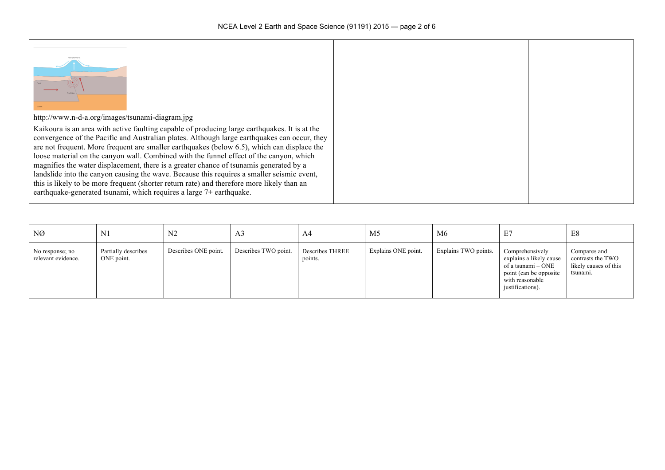| http://www.n-d-a.org/images/tsunami-diagram.jpg                                                                                                                                                                                                                                                                                                                                                                                                                                                                                                                                                                                                                                                                                                      |  |  |
|------------------------------------------------------------------------------------------------------------------------------------------------------------------------------------------------------------------------------------------------------------------------------------------------------------------------------------------------------------------------------------------------------------------------------------------------------------------------------------------------------------------------------------------------------------------------------------------------------------------------------------------------------------------------------------------------------------------------------------------------------|--|--|
| Kaikoura is an area with active faulting capable of producing large earthquakes. It is at the<br>convergence of the Pacific and Australian plates. Although large earthquakes can occur, they<br>are not frequent. More frequent are smaller earthquakes (below 6.5), which can displace the<br>loose material on the canyon wall. Combined with the funnel effect of the canyon, which<br>magnifies the water displacement, there is a greater chance of tsunamis generated by a<br>landslide into the canyon causing the wave. Because this requires a smaller seismic event,<br>this is likely to be more frequent (shorter return rate) and therefore more likely than an<br>earthquake-generated tsunami, which requires a large 7+ earthquake. |  |  |

| NØ                                    | N <sub>1</sub>                    | N <sub>2</sub>       | A <sub>3</sub>       | A4                                | M <sub>5</sub>      | M6                   |                                                                                                                                    | E8                                                                     |
|---------------------------------------|-----------------------------------|----------------------|----------------------|-----------------------------------|---------------------|----------------------|------------------------------------------------------------------------------------------------------------------------------------|------------------------------------------------------------------------|
| No response; no<br>relevant evidence. | Partially describes<br>ONE point. | Describes ONE point. | Describes TWO point. | <b>Describes THREE</b><br>points. | Explains ONE point. | Explains TWO points. | Comprehensively<br>explains a likely cause<br>of a tsunami – ONE<br>point (can be opposite)<br>with reasonable<br>justifications). | Compares and<br>contrasts the TWO<br>likely causes of this<br>tsunami. |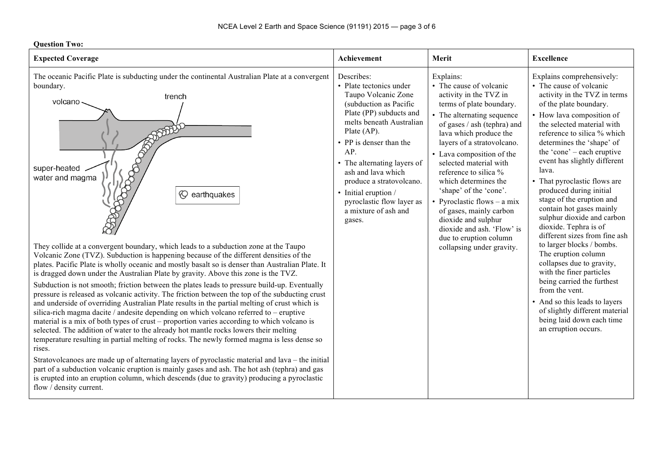**Question Two:**

| лисэмэн тил<br><b>Expected Coverage</b>                                                                                                                                                                                                                                                                                                                                                                                                                                                                                                                                                                                                                                                                                                                                                                                                                                                                                                                                                                                                                                                                                                                                                                                                                                                                                                                                                                                                                                                                                                                                                                                | Achievement                                                                                                                                                                                                                                                                                                                                                           | Merit                                                                                                                                                                                                                                                                                                                                                                                                                                                                                                                     | <b>Excellence</b>                                                                                                                                                                                                                                                                                                                                                                                                                                                                                                                                                                                                                                                                                                                                                                                             |
|------------------------------------------------------------------------------------------------------------------------------------------------------------------------------------------------------------------------------------------------------------------------------------------------------------------------------------------------------------------------------------------------------------------------------------------------------------------------------------------------------------------------------------------------------------------------------------------------------------------------------------------------------------------------------------------------------------------------------------------------------------------------------------------------------------------------------------------------------------------------------------------------------------------------------------------------------------------------------------------------------------------------------------------------------------------------------------------------------------------------------------------------------------------------------------------------------------------------------------------------------------------------------------------------------------------------------------------------------------------------------------------------------------------------------------------------------------------------------------------------------------------------------------------------------------------------------------------------------------------------|-----------------------------------------------------------------------------------------------------------------------------------------------------------------------------------------------------------------------------------------------------------------------------------------------------------------------------------------------------------------------|---------------------------------------------------------------------------------------------------------------------------------------------------------------------------------------------------------------------------------------------------------------------------------------------------------------------------------------------------------------------------------------------------------------------------------------------------------------------------------------------------------------------------|---------------------------------------------------------------------------------------------------------------------------------------------------------------------------------------------------------------------------------------------------------------------------------------------------------------------------------------------------------------------------------------------------------------------------------------------------------------------------------------------------------------------------------------------------------------------------------------------------------------------------------------------------------------------------------------------------------------------------------------------------------------------------------------------------------------|
| The oceanic Pacific Plate is subducting under the continental Australian Plate at a convergent<br>boundary.<br>trench<br>volcano<br>super-heated<br>water and magma<br><b><math>\heartsuit</math></b> earthquakes<br>They collide at a convergent boundary, which leads to a subduction zone at the Taupo<br>Volcanic Zone (TVZ). Subduction is happening because of the different densities of the<br>plates. Pacific Plate is wholly oceanic and mostly basalt so is denser than Australian Plate. It<br>is dragged down under the Australian Plate by gravity. Above this zone is the TVZ.<br>Subduction is not smooth; friction between the plates leads to pressure build-up. Eventually<br>pressure is released as volcanic activity. The friction between the top of the subducting crust<br>and underside of overriding Australian Plate results in the partial melting of crust which is<br>silica-rich magma dacite / andesite depending on which volcano referred to – eruptive<br>material is a mix of both types of crust – proportion varies according to which volcano is<br>selected. The addition of water to the already hot mantle rocks lowers their melting<br>temperature resulting in partial melting of rocks. The newly formed magma is less dense so<br>rises.<br>Stratovolcanoes are made up of alternating layers of pyroclastic material and lava – the initial<br>part of a subduction volcanic eruption is mainly gases and ash. The hot ash (tephra) and gas<br>is erupted into an eruption column, which descends (due to gravity) producing a pyroclastic<br>flow / density current. | Describes:<br>• Plate tectonics under<br>Taupo Volcanic Zone<br>(subduction as Pacific<br>Plate (PP) subducts and<br>melts beneath Australian<br>Plate (AP).<br>• PP is denser than the<br>AP<br>• The alternating layers of<br>ash and lava which<br>produce a stratovolcano.<br>• Initial eruption /<br>pyroclastic flow layer as<br>a mixture of ash and<br>gases. | Explains:<br>• The cause of volcanic<br>activity in the TVZ in<br>terms of plate boundary.<br>• The alternating sequence<br>of gases / ash (tephra) and<br>lava which produce the<br>layers of a stratovolcano.<br>• Lava composition of the<br>selected material with<br>reference to silica %<br>which determines the<br>'shape' of the 'cone'.<br>• Pyroclastic flows $-$ a mix<br>of gases, mainly carbon<br>dioxide and sulphur<br>dioxide and ash. 'Flow' is<br>due to eruption column<br>collapsing under gravity. | Explains comprehensively:<br>• The cause of volcanic<br>activity in the TVZ in terms<br>of the plate boundary.<br>• How lava composition of<br>the selected material with<br>reference to silica % which<br>determines the 'shape' of<br>the 'cone' – each eruptive<br>event has slightly different<br>lava.<br>• That pyroclastic flows are<br>produced during initial<br>stage of the eruption and<br>contain hot gases mainly<br>sulphur dioxide and carbon<br>dioxide. Tephra is of<br>different sizes from fine ash<br>to larger blocks / bombs.<br>The eruption column<br>collapses due to gravity,<br>with the finer particles<br>being carried the furthest<br>from the vent.<br>• And so this leads to layers<br>of slightly different material<br>being laid down each time<br>an erruption occurs. |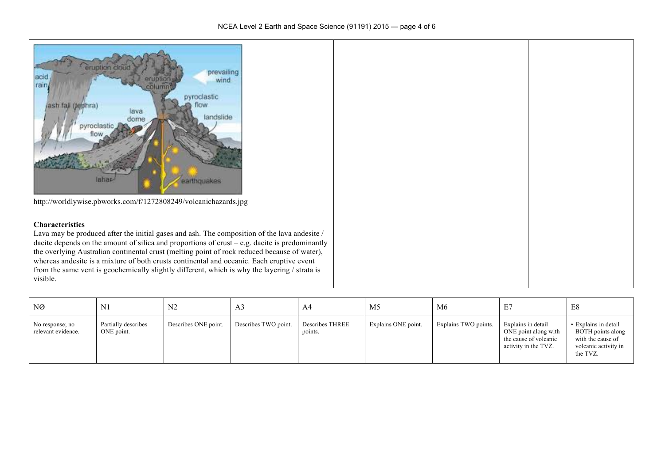| eruption cloud<br>prevailing<br>acid<br>wind<br>rain,<br>pyroclastic<br>ash fall (lephra)<br>OW<br>lava<br>landslide<br>dome<br>pyroclast<br>earthquakes<br>lahar<br>http://worldlywise.pbworks.com/f/1272808249/volcanichazards.jpg                                                                                                                                                                                                                                                                                                |  |  |
|-------------------------------------------------------------------------------------------------------------------------------------------------------------------------------------------------------------------------------------------------------------------------------------------------------------------------------------------------------------------------------------------------------------------------------------------------------------------------------------------------------------------------------------|--|--|
| <b>Characteristics</b><br>Lava may be produced after the initial gases and ash. The composition of the lava andesite /<br>dacite depends on the amount of silica and proportions of crust $-e.g.$ dacite is predominantly<br>the overlying Australian continental crust (melting point of rock reduced because of water),<br>whereas andesite is a mixture of both crusts continental and oceanic. Each eruptive event<br>from the same vent is geochemically slightly different, which is why the layering / strata is<br>visible. |  |  |

| NØ                                    | $\mathbf{N}$                      | N <sub>2</sub>       | A <sub>3</sub>       | A4                                | M <sub>5</sub>      | M6                   | E7                                                                                          | E8                                                                                                 |
|---------------------------------------|-----------------------------------|----------------------|----------------------|-----------------------------------|---------------------|----------------------|---------------------------------------------------------------------------------------------|----------------------------------------------------------------------------------------------------|
| No response; no<br>relevant evidence. | Partially describes<br>ONE point. | Describes ONE point. | Describes TWO point. | <b>Describes THREE</b><br>points. | Explains ONE point. | Explains TWO points. | Explains in detail<br>ONE point along with<br>the cause of volcanic<br>activity in the TVZ. | • Explains in detail<br>BOTH points along<br>with the cause of<br>volcanic activity in<br>the TVZ. |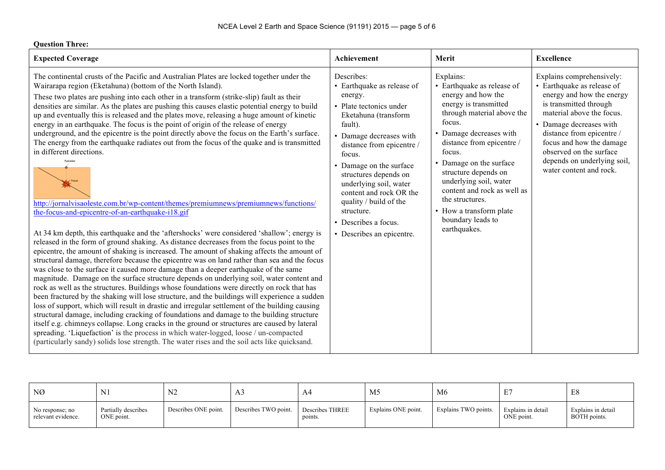| <b>Question Three:</b>                                                                                                                                                                                                                                                                                                                                                                                                                                                                                                                                                                                                                                                                                                                                                                                                                                                                                                                                                                                                                                                                                                                                                                                                                                                                                                                                                                                                                                                                                                                                                                                                                                                                                                                                                                                                                                                                                                                                                                                                                                                                                                                                                                                         |                                                                                                                                                                                                                                                                                                                                                                                         |                                                                                                                                                                                                                                                                                                                                                                                                 |                                                                                                                                                                                                                                                                                                                      |
|----------------------------------------------------------------------------------------------------------------------------------------------------------------------------------------------------------------------------------------------------------------------------------------------------------------------------------------------------------------------------------------------------------------------------------------------------------------------------------------------------------------------------------------------------------------------------------------------------------------------------------------------------------------------------------------------------------------------------------------------------------------------------------------------------------------------------------------------------------------------------------------------------------------------------------------------------------------------------------------------------------------------------------------------------------------------------------------------------------------------------------------------------------------------------------------------------------------------------------------------------------------------------------------------------------------------------------------------------------------------------------------------------------------------------------------------------------------------------------------------------------------------------------------------------------------------------------------------------------------------------------------------------------------------------------------------------------------------------------------------------------------------------------------------------------------------------------------------------------------------------------------------------------------------------------------------------------------------------------------------------------------------------------------------------------------------------------------------------------------------------------------------------------------------------------------------------------------|-----------------------------------------------------------------------------------------------------------------------------------------------------------------------------------------------------------------------------------------------------------------------------------------------------------------------------------------------------------------------------------------|-------------------------------------------------------------------------------------------------------------------------------------------------------------------------------------------------------------------------------------------------------------------------------------------------------------------------------------------------------------------------------------------------|----------------------------------------------------------------------------------------------------------------------------------------------------------------------------------------------------------------------------------------------------------------------------------------------------------------------|
| <b>Expected Coverage</b>                                                                                                                                                                                                                                                                                                                                                                                                                                                                                                                                                                                                                                                                                                                                                                                                                                                                                                                                                                                                                                                                                                                                                                                                                                                                                                                                                                                                                                                                                                                                                                                                                                                                                                                                                                                                                                                                                                                                                                                                                                                                                                                                                                                       | Achievement                                                                                                                                                                                                                                                                                                                                                                             | Merit                                                                                                                                                                                                                                                                                                                                                                                           | <b>Excellence</b>                                                                                                                                                                                                                                                                                                    |
| The continental crusts of the Pacific and Australian Plates are locked together under the<br>Wairarapa region (Eketahuna) (bottom of the North Island).<br>These two plates are pushing into each other in a transform (strike-slip) fault as their<br>densities are similar. As the plates are pushing this causes elastic potential energy to build<br>up and eventually this is released and the plates move, releasing a huge amount of kinetic<br>energy in an earthquake. The focus is the point of origin of the release of energy<br>underground, and the epicentre is the point directly above the focus on the Earth's surface.<br>The energy from the earthquake radiates out from the focus of the quake and is transmitted<br>in different directions.<br>Enicente<br>$\sqrt{$ Focus<br>http://jornalvisaoleste.com.br/wp-content/themes/premiumnews/premiumnews/functions/<br>the-focus-and-epicentre-of-an-earthquake-i18.gif<br>At 34 km depth, this earthquake and the 'aftershocks' were considered 'shallow'; energy is<br>released in the form of ground shaking. As distance decreases from the focus point to the<br>epicentre, the amount of shaking is increased. The amount of shaking affects the amount of<br>structural damage, therefore because the epicentre was on land rather than sea and the focus<br>was close to the surface it caused more damage than a deeper earthquake of the same<br>magnitude. Damage on the surface structure depends on underlying soil, water content and<br>rock as well as the structures. Buildings whose foundations were directly on rock that has<br>been fractured by the shaking will lose structure, and the buildings will experience a sudden<br>loss of support, which will result in drastic and irregular settlement of the building causing<br>structural damage, including cracking of foundations and damage to the building structure<br>itself e.g. chimneys collapse. Long cracks in the ground or structures are caused by lateral<br>spreading. 'Liquefaction' is the process in which water-logged, loose / un-compacted<br>(particularly sandy) solids lose strength. The water rises and the soil acts like quicksand. | Describes:<br>• Earthquake as release of<br>energy.<br>• Plate tectonics under<br>Eketahuna (transform<br>fault).<br>Damage decreases with<br>distance from epicentre /<br>focus.<br>• Damage on the surface<br>structures depends on<br>underlying soil, water<br>content and rock OR the<br>quality / build of the<br>structure.<br>• Describes a focus.<br>• Describes an epicentre. | Explains:<br>• Earthquake as release of<br>energy and how the<br>energy is transmitted<br>through material above the<br>focus.<br>• Damage decreases with<br>distance from epicentre /<br>focus.<br>• Damage on the surface<br>structure depends on<br>underlying soil, water<br>content and rock as well as<br>the structures.<br>• How a transform plate<br>boundary leads to<br>earthquakes. | Explains comprehensively:<br>• Earthquake as release of<br>energy and how the energy<br>is transmitted through<br>material above the focus.<br>• Damage decreases with<br>distance from epicentre /<br>focus and how the damage<br>observed on the surface<br>depends on underlying soil,<br>water content and rock. |

| NØ                                    | N <sub>1</sub>                    | NZ.                  | ر د د                | A4                                | M <sub>5</sub>      | M <sub>6</sub>       | ∸                                | E8                                 |
|---------------------------------------|-----------------------------------|----------------------|----------------------|-----------------------------------|---------------------|----------------------|----------------------------------|------------------------------------|
| No response; no<br>relevant evidence. | Partially describes<br>ONE point. | Describes ONE point. | Describes TWO point. | <b>Describes THREE</b><br>points. | Explains ONE point. | Explains TWO points. | Explains in detail<br>ONE point. | Explains in detail<br>BOTH points. |